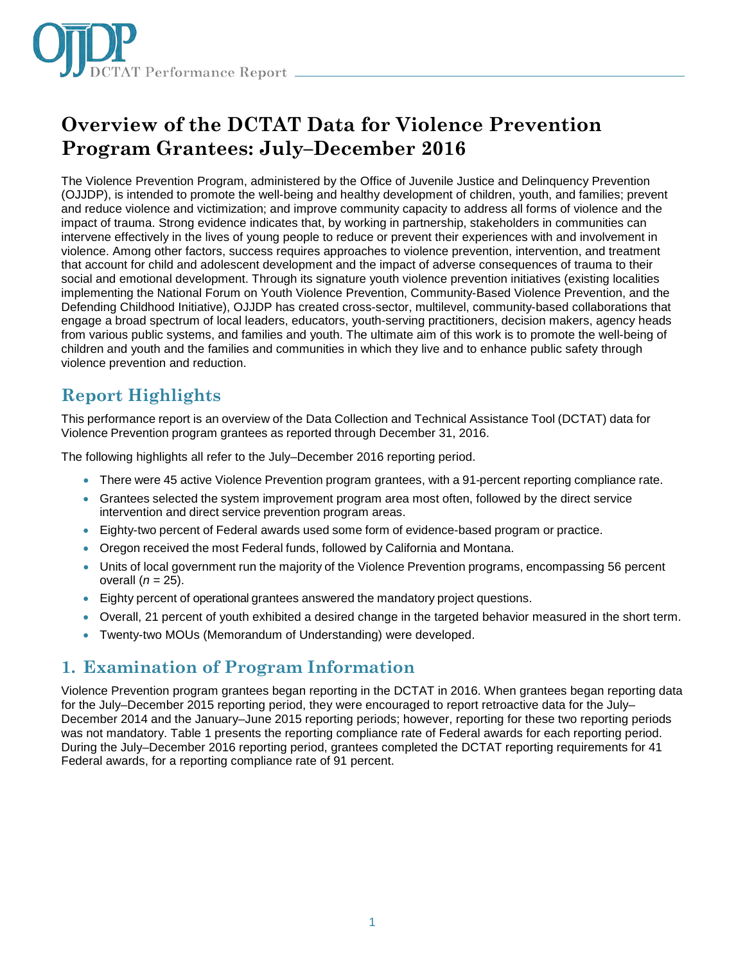

# **Overview of the DCTAT Data for Violence Prevention Program Grantees: July–December 2016**

The Violence Prevention Program, administered by the Office of Juvenile Justice and Delinquency Prevention (OJJDP), is intended to promote the well-being and healthy development of children, youth, and families; prevent and reduce violence and victimization; and improve community capacity to address all forms of violence and the impact of trauma. Strong evidence indicates that, by working in partnership, stakeholders in communities can intervene effectively in the lives of young people to reduce or prevent their experiences with and involvement in violence. Among other factors, success requires approaches to violence prevention, intervention, and treatment that account for child and adolescent development and the impact of adverse consequences of trauma to their social and emotional development. Through its signature youth violence prevention initiatives (existing localities implementing the National Forum on Youth Violence Prevention, Community-Based Violence Prevention, and the Defending Childhood Initiative), OJJDP has created cross-sector, multilevel, community-based collaborations that engage a broad spectrum of local leaders, educators, youth-serving practitioners, decision makers, agency heads from various public systems, and families and youth. The ultimate aim of this work is to promote the well-being of children and youth and the families and communities in which they live and to enhance public safety through violence prevention and reduction.

## **Report Highlights**

This performance report is an overview of the Data Collection and Technical Assistance Tool (DCTAT) data for Violence Prevention program grantees as reported through December 31, 2016.

The following highlights all refer to the July–December 2016 reporting period.

- There were 45 active Violence Prevention program grantees, with a 91-percent reporting compliance rate.
- Grantees selected the system improvement program area most often, followed by the direct service intervention and direct service prevention program areas.
- Eighty-two percent of Federal awards used some form of evidence-based program or practice.
- Oregon received the most Federal funds, followed by California and Montana.
- Units of local government run the majority of the Violence Prevention programs, encompassing 56 percent overall (*n* = 25).
- Eighty percent of operational grantees answered the mandatory project questions.
- Overall, 21 percent of youth exhibited a desired change in the targeted behavior measured in the short term.
- Twenty-two MOUs (Memorandum of Understanding) were developed.

## **1. Examination of Program Information**

Violence Prevention program grantees began reporting in the DCTAT in 2016. When grantees began reporting data for the July–December 2015 reporting period, they were encouraged to report retroactive data for the July– December 2014 and the January–June 2015 reporting periods; however, reporting for these two reporting periods was not mandatory. Table 1 presents the reporting compliance rate of Federal awards for each reporting period. During the July–December 2016 reporting period, grantees completed the DCTAT reporting requirements for 41 Federal awards, for a reporting compliance rate of 91 percent.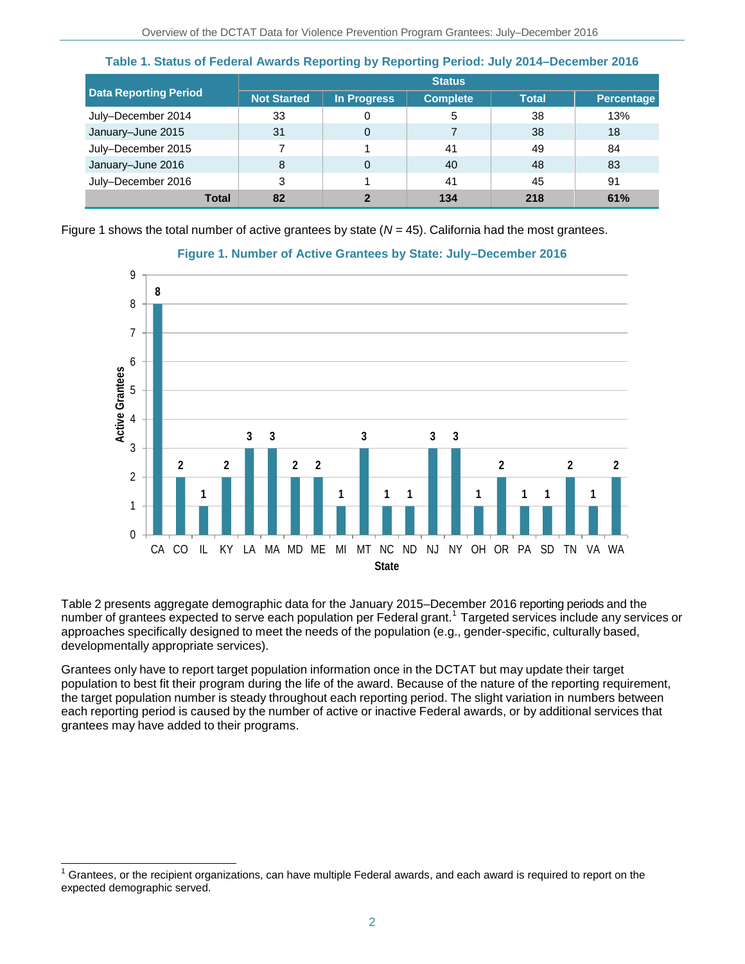|                              | <b>Status</b>      |             |                 |              |            |
|------------------------------|--------------------|-------------|-----------------|--------------|------------|
| <b>Data Reporting Period</b> | <b>Not Started</b> | In Progress | <b>Complete</b> | <b>Total</b> | Percentage |
| July-December 2014           | 33                 |             | 5               | 38           | 13%        |
| January-June 2015            | 31                 | 0           |                 | 38           | 18         |
| July-December 2015           |                    |             | 41              | 49           | 84         |
| January-June 2016            | 8                  | $\Omega$    | 40              | 48           | 83         |
| July-December 2016           | 3                  |             | 41              | 45           | 91         |
| <b>Total</b>                 | 82                 | າ           | 134             | 218          | 61%        |

**Table 1. Status of Federal Awards Reporting by Reporting Period: July 2014–December 2016**

Figure 1 shows the total number of active grantees by state (*N* = 45). California had the most grantees.



### **Figure 1. Number of Active Grantees by State: July–December 2016**

Table 2 presents aggregate demographic data for the January 2015–December 2016 reporting periods and the number of grantees expected to serve each population per Federal grant.<sup>1</sup> Targeted services include any services or approaches specifically designed to meet the needs of the population (e.g., gender-specific, culturally based, developmentally appropriate services).

Grantees only have to report target population information once in the DCTAT but may update their target population to best fit their program during the life of the award. Because of the nature of the reporting requirement, the target population number is steady throughout each reporting period. The slight variation in numbers between each reporting period is caused by the number of active or inactive Federal awards, or by additional services that grantees may have added to their programs.

j Grantees, or the recipient organizations, can have multiple Federal awards, and each award is required to report on the expected demographic served.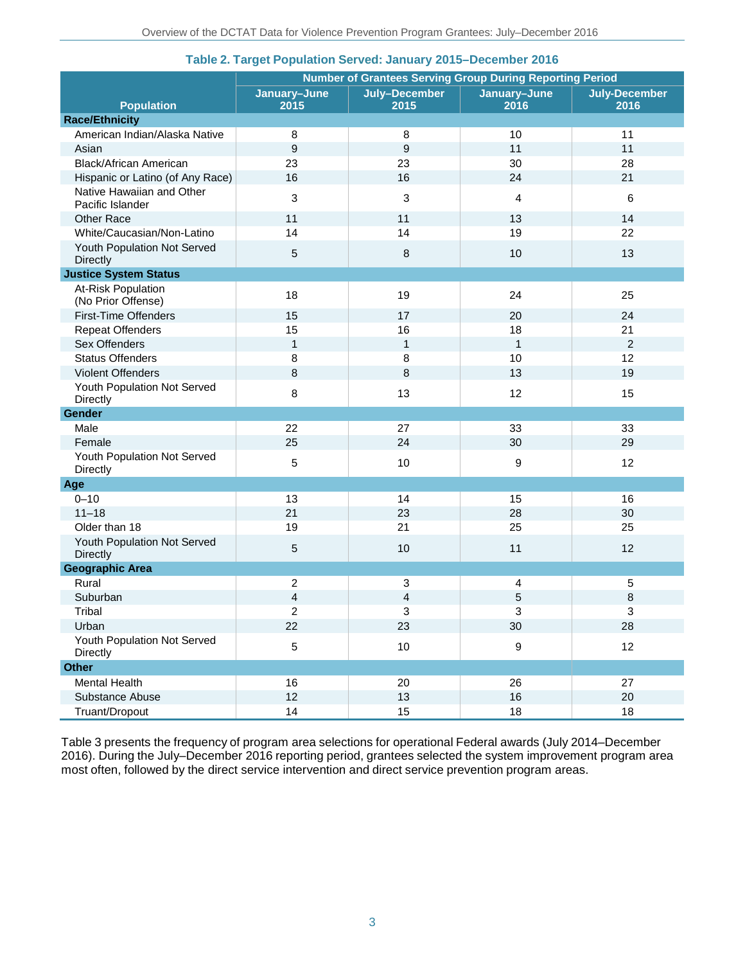|                                               | <b>Number of Grantees Serving Group During Reporting Period</b> |                       |                      |                              |  |  |
|-----------------------------------------------|-----------------------------------------------------------------|-----------------------|----------------------|------------------------------|--|--|
| <b>Population</b>                             | January-June<br>2015                                            | July-December<br>2015 | January-June<br>2016 | <b>July-December</b><br>2016 |  |  |
| <b>Race/Ethnicity</b>                         |                                                                 |                       |                      |                              |  |  |
| American Indian/Alaska Native                 | 8                                                               | 8                     | 10                   | 11                           |  |  |
| Asian                                         | 9                                                               | 9                     | 11                   | 11                           |  |  |
| <b>Black/African American</b>                 | 23                                                              | 23                    | 30                   | 28                           |  |  |
| Hispanic or Latino (of Any Race)              | 16                                                              | 16                    | 24                   | 21                           |  |  |
| Native Hawaiian and Other<br>Pacific Islander | 3                                                               | 3                     | $\overline{4}$       | 6                            |  |  |
| <b>Other Race</b>                             | 11                                                              | 11                    | 13                   | 14                           |  |  |
| White/Caucasian/Non-Latino                    | 14                                                              | 14                    | 19                   | 22                           |  |  |
| Youth Population Not Served<br>Directly       | 5                                                               | 8                     | 10                   | 13                           |  |  |
| <b>Justice System Status</b>                  |                                                                 |                       |                      |                              |  |  |
| At-Risk Population<br>(No Prior Offense)      | 18                                                              | 19                    | 24                   | 25                           |  |  |
| <b>First-Time Offenders</b>                   | 15                                                              | 17                    | 20                   | 24                           |  |  |
| <b>Repeat Offenders</b>                       | 15                                                              | 16                    | 18                   | 21                           |  |  |
| Sex Offenders                                 | $\mathbf{1}$                                                    | $\mathbf{1}$          | $\mathbf{1}$         | $\overline{2}$               |  |  |
| <b>Status Offenders</b>                       | $\bf8$                                                          | 8                     | 10                   | 12                           |  |  |
| Violent Offenders                             | 8                                                               | 8                     | 13                   | 19                           |  |  |
| Youth Population Not Served<br>Directly       | 8                                                               | 13                    | 12                   | 15                           |  |  |
| Gender                                        |                                                                 |                       |                      |                              |  |  |
| Male                                          | 22                                                              | 27                    | 33                   | 33                           |  |  |
| Female                                        | 25                                                              | 24                    | 30                   | 29                           |  |  |
| Youth Population Not Served<br>Directly       | 5                                                               | 10                    | 9                    | 12                           |  |  |
| Age                                           |                                                                 |                       |                      |                              |  |  |
| $0 - 10$                                      | 13                                                              | 14                    | 15                   | 16                           |  |  |
| $11 - 18$                                     | 21                                                              | 23                    | 28                   | 30                           |  |  |
| Older than 18                                 | 19                                                              | 21                    | 25                   | 25                           |  |  |
| Youth Population Not Served<br>Directly       | $\mathbf 5$                                                     | 10                    | 11                   | 12                           |  |  |
| <b>Geographic Area</b>                        |                                                                 |                       |                      |                              |  |  |
| Rural                                         | 2                                                               | 3                     | $\overline{4}$       | 5                            |  |  |
| Suburban                                      | $\overline{\mathbf{4}}$                                         | 4                     | 5                    | 8                            |  |  |
| Tribal                                        | $\overline{2}$                                                  | 3                     | 3                    | 3                            |  |  |
| Urban                                         | 22                                                              | 23                    | 30                   | 28                           |  |  |
| Youth Population Not Served<br>Directly       | 5                                                               | 10                    | $\boldsymbol{9}$     | 12                           |  |  |
| <b>Other</b>                                  |                                                                 |                       |                      |                              |  |  |
| Mental Health                                 | 16                                                              | 20                    | 26                   | 27                           |  |  |
| Substance Abuse                               | 12                                                              | 13                    | 16                   | 20                           |  |  |
| Truant/Dropout                                | 14                                                              | 15                    | 18                   | 18                           |  |  |

### **Table 2. Target Population Served: January 2015–December 2016**

Table 3 presents the frequency of program area selections for operational Federal awards (July 2014–December 2016). During the July–December 2016 reporting period, grantees selected the system improvement program area most often, followed by the direct service intervention and direct service prevention program areas.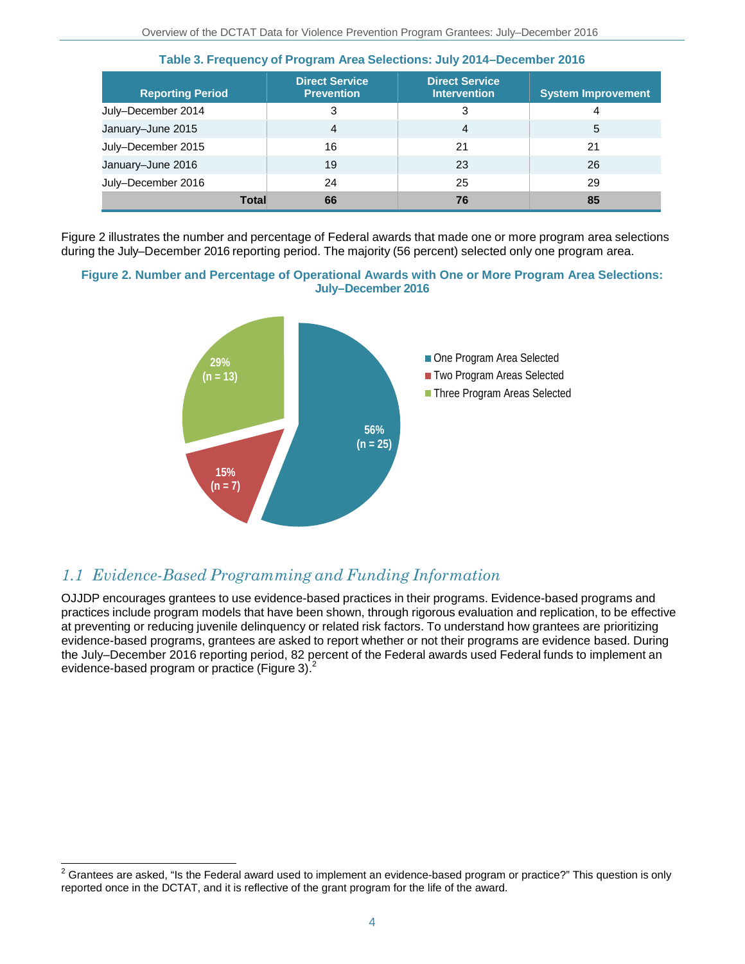| <b>Reporting Period</b> | <b>Direct Service</b><br><b>Prevention</b> | <b>Direct Service</b><br><b>Intervention</b> | <b>System Improvement</b> |
|-------------------------|--------------------------------------------|----------------------------------------------|---------------------------|
| July-December 2014      | 3                                          | 3                                            | 4                         |
| January-June 2015       | 4                                          | 4                                            | 5                         |
| July-December 2015      | 16                                         | 21                                           | 21                        |
| January-June 2016       | 19                                         | 23                                           | 26                        |
| July-December 2016      | 24                                         | 25                                           | 29                        |
| <b>Total</b>            | 66                                         | 76                                           | 85                        |

**Table 3. Frequency of Program Area Selections: July 2014–December 2016**

Figure 2 illustrates the number and percentage of Federal awards that made one or more program area selections during the July–December 2016 reporting period. The majority (56 percent) selected only one program area.

#### **Figure 2. Number and Percentage of Operational Awards with One or More Program Area Selections: July–December 2016**



### *1.1 Evidence-Based Programming and Funding Information*

j

OJJDP encourages grantees to use evidence-based practices in their programs. Evidence-based programs and practices include program models that have been shown, through rigorous evaluation and replication, to be effective at preventing or reducing juvenile delinquency or related risk factors. To understand how grantees are prioritizing evidence-based programs, grantees are asked to report whether or not their programs are evidence based. During the July–December 2016 reporting period, 82 percent of the Federal awards used Federal funds to implement an evidence-based program or practice (Figure 3).<sup>2</sup>

 $2$  Grantees are asked, "Is the Federal award used to implement an evidence-based program or practice?" This question is only reported once in the DCTAT, and it is reflective of the grant program for the life of the award.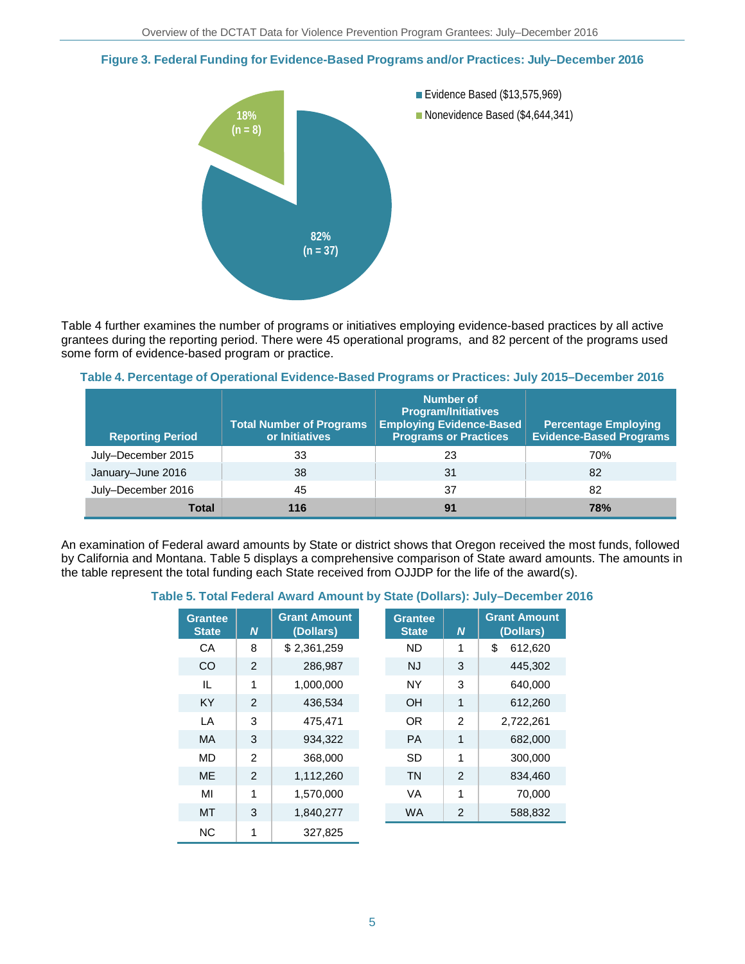### **Figure 3. Federal Funding for Evidence-Based Programs and/or Practices: July–December 2016**



Table 4 further examines the number of programs or initiatives employing evidence-based practices by all active grantees during the reporting period. There were 45 operational programs, and 82 percent of the programs used some form of evidence-based program or practice.

### **Table 4. Percentage of Operational Evidence-Based Programs or Practices: July 2015–December 2016**

| <b>Reporting Period</b> | <b>Total Number of Programs</b><br>or Initiatives | <b>Number of</b><br><b>Program/Initiatives</b><br><b>Employing Evidence-Based</b><br><b>Programs or Practices</b> | <b>Percentage Employing</b><br><b>Evidence-Based Programs</b> |
|-------------------------|---------------------------------------------------|-------------------------------------------------------------------------------------------------------------------|---------------------------------------------------------------|
| July-December 2015      | 33                                                | 23                                                                                                                | 70%                                                           |
| January-June 2016       | 38                                                | 31                                                                                                                | 82                                                            |
| July-December 2016      | 45                                                | 37                                                                                                                | 82                                                            |
| Total                   | 116                                               | 91                                                                                                                | <b>78%</b>                                                    |

An examination of Federal award amounts by State or district shows that Oregon received the most funds, followed by California and Montana. Table 5 displays a comprehensive comparison of State award amounts. The amounts in the table represent the total funding each State received from OJJDP for the life of the award(s).

### **Table 5. Total Federal Award Amount by State (Dollars): July–December 2016**

| <b>Grantee</b><br><b>State</b> | N              | <b>Grant Amount</b><br>(Dollars) | <b>Grantee</b><br><b>State</b> | N              | <b>Grant Amount</b><br>(Dollars) |
|--------------------------------|----------------|----------------------------------|--------------------------------|----------------|----------------------------------|
| CA                             | 8              | \$2,361,259                      | <b>ND</b>                      | 1              | \$<br>612,620                    |
| <sub>CO</sub>                  | 2              | 286,987                          | <b>NJ</b>                      | 3              | 445.302                          |
| IL                             | 1              | 1,000,000                        | <b>NY</b>                      | 3              | 640,000                          |
| <b>KY</b>                      | 2              | 436,534                          | <b>OH</b>                      | 1              | 612,260                          |
| LA                             | 3              | 475,471                          | OR.                            | $\overline{2}$ | 2,722,261                        |
| <b>MA</b>                      | 3              | 934,322                          | <b>PA</b>                      | 1              | 682,000                          |
| <b>MD</b>                      | $\overline{2}$ | 368,000                          | <b>SD</b>                      | 1              | 300,000                          |
| <b>ME</b>                      | 2              | 1,112,260                        | <b>TN</b>                      | $\overline{2}$ | 834,460                          |
| MI                             | 1              | 1,570,000                        | <b>VA</b>                      | 1              | 70,000                           |
| <b>MT</b>                      | 3              | 1,840,277                        | <b>WA</b>                      | 2              | 588,832                          |
| <b>NC</b>                      | 1              | 327.825                          |                                |                |                                  |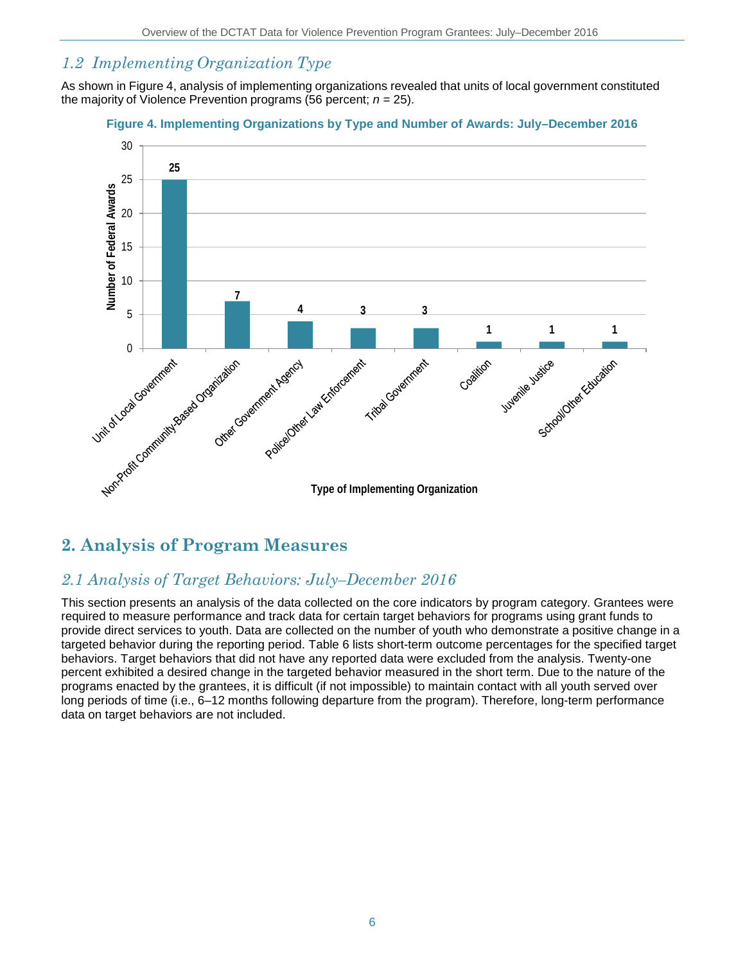## *1.2 Implementing Organization Type*

As shown in Figure 4, analysis of implementing organizations revealed that units of local government constituted the majority of Violence Prevention programs (56 percent;  $n = 25$ ).

### **Figure 4. Implementing Organizations by Type and Number of Awards: July–December 2016**



## **2. Analysis of Program Measures**

### *2.1 Analysis of Target Behaviors: July–December 2016*

This section presents an analysis of the data collected on the core indicators by program category. Grantees were required to measure performance and track data for certain target behaviors for programs using grant funds to provide direct services to youth. Data are collected on the number of youth who demonstrate a positive change in a targeted behavior during the reporting period. Table 6 lists short-term outcome percentages for the specified target behaviors. Target behaviors that did not have any reported data were excluded from the analysis. Twenty-one percent exhibited a desired change in the targeted behavior measured in the short term. Due to the nature of the programs enacted by the grantees, it is difficult (if not impossible) to maintain contact with all youth served over long periods of time (i.e., 6–12 months following departure from the program). Therefore, long-term performance data on target behaviors are not included.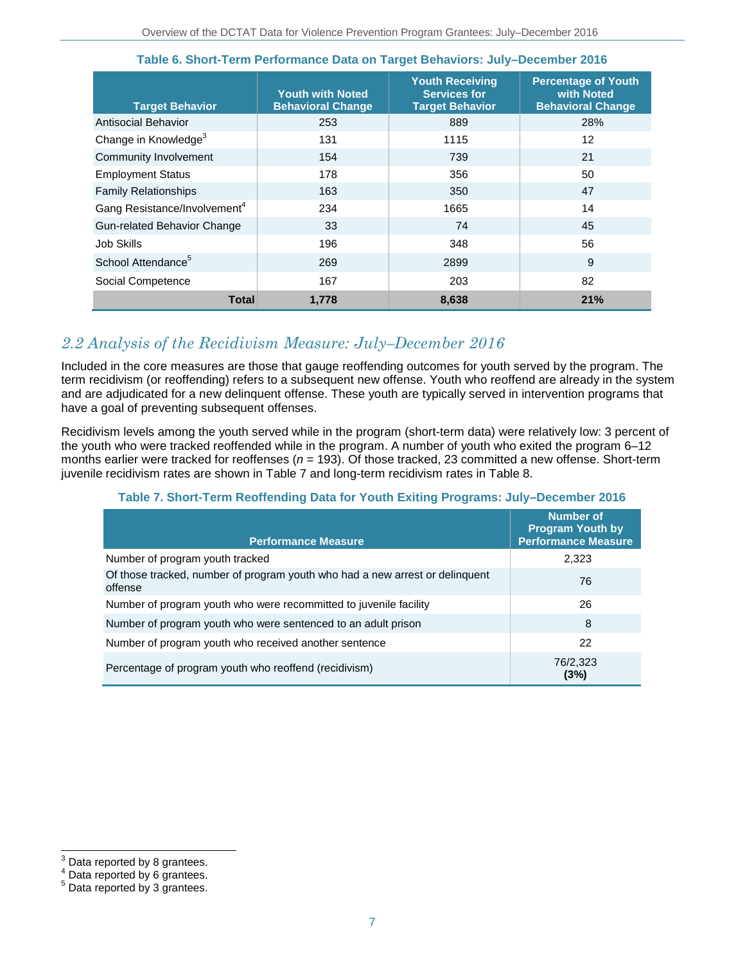| <b>Target Behavior</b>                   | <b>Youth with Noted</b><br><b>Behavioral Change</b> | <b>Youth Receiving</b><br><b>Services for</b><br><b>Target Behavior</b> | <b>Percentage of Youth</b><br>with Noted<br><b>Behavioral Change</b> |
|------------------------------------------|-----------------------------------------------------|-------------------------------------------------------------------------|----------------------------------------------------------------------|
| Antisocial Behavior                      | 253                                                 | 889                                                                     | 28%                                                                  |
| Change in Knowledge <sup>3</sup>         | 131                                                 | 1115                                                                    | $12 \overline{ }$                                                    |
| Community Involvement                    | 154                                                 | 739                                                                     | 21                                                                   |
| <b>Employment Status</b>                 | 178                                                 | 356                                                                     | 50                                                                   |
| <b>Family Relationships</b>              | 163                                                 | 350                                                                     | 47                                                                   |
| Gang Resistance/Involvement <sup>4</sup> | 234                                                 | 1665                                                                    | 14                                                                   |
| Gun-related Behavior Change              | 33                                                  | 74                                                                      | 45                                                                   |
| Job Skills                               | 196                                                 | 348                                                                     | 56                                                                   |
| School Attendance <sup>5</sup>           | 269                                                 | 2899                                                                    | 9                                                                    |
| Social Competence                        | 167                                                 | 203                                                                     | 82                                                                   |
| <b>Total</b>                             | 1,778                                               | 8,638                                                                   | 21%                                                                  |

### **Table 6. Short-Term Performance Data on Target Behaviors: July–December 2016**

### *2.2 Analysis of the Recidivism Measure: July–December 2016*

Included in the core measures are those that gauge reoffending outcomes for youth served by the program. The term recidivism (or reoffending) refers to a subsequent new offense. Youth who reoffend are already in the system and are adjudicated for a new delinquent offense. These youth are typically served in intervention programs that have a goal of preventing subsequent offenses.

Recidivism levels among the youth served while in the program (short-term data) were relatively low: 3 percent of the youth who were tracked reoffended while in the program. A number of youth who exited the program 6–12 months earlier were tracked for reoffenses (*n* = 193). Of those tracked, 23 committed a new offense. Short-term juvenile recidivism rates are shown in Table 7 and long-term recidivism rates in Table 8.

### **Table 7. Short-Term Reoffending Data for Youth Exiting Programs: July–December 2016**

|                                                                                         | <b>Number of</b><br><b>Program Youth by</b> |
|-----------------------------------------------------------------------------------------|---------------------------------------------|
| <b>Performance Measure</b>                                                              | <b>Performance Measure</b>                  |
| Number of program youth tracked                                                         | 2,323                                       |
| Of those tracked, number of program youth who had a new arrest or delinquent<br>offense | 76                                          |
| Number of program youth who were recommitted to juvenile facility                       | 26                                          |
| Number of program youth who were sentenced to an adult prison                           | 8                                           |
| Number of program youth who received another sentence                                   | 22                                          |
| Percentage of program youth who reoffend (recidivism)                                   | 76/2,323<br>(3%)                            |

 $3$  Data reported by 8 grantees.

<sup>&</sup>lt;sup>4</sup> Data reported by 6 grantees.<br>
<sup>5</sup> Data reported by 3 grantees.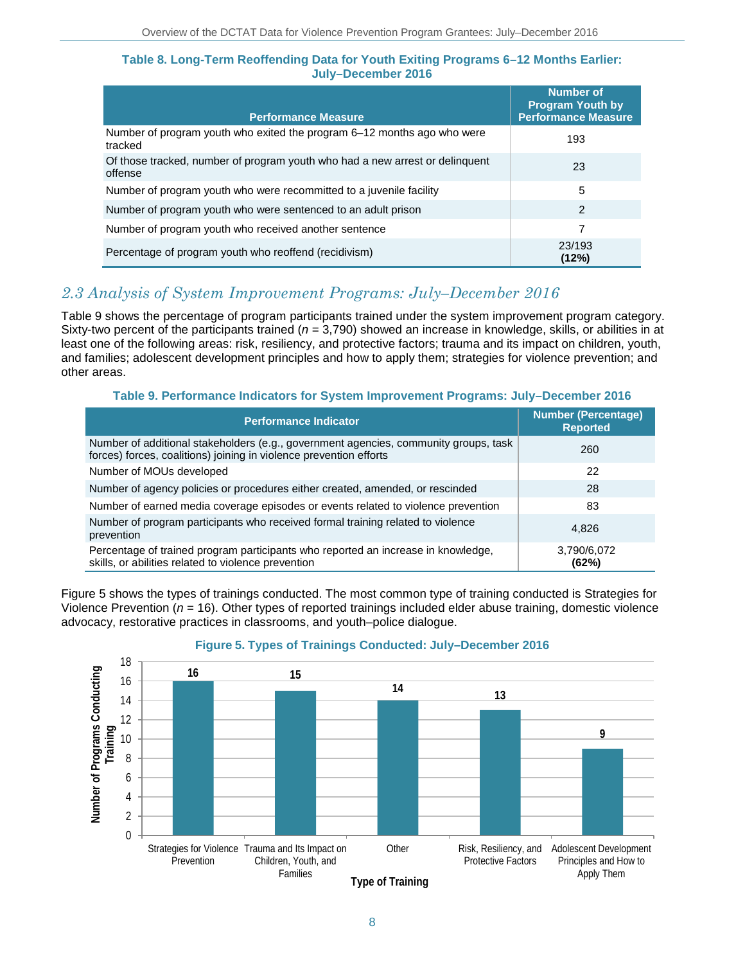#### **Table 8. Long-Term Reoffending Data for Youth Exiting Programs 6–12 Months Earlier: July–December 2016**

| <b>Performance Measure</b>                                                              | <b>Number of</b><br><b>Program Youth by</b><br><b>Performance Measure</b> |
|-----------------------------------------------------------------------------------------|---------------------------------------------------------------------------|
| Number of program youth who exited the program 6–12 months ago who were<br>tracked      | 193                                                                       |
| Of those tracked, number of program youth who had a new arrest or delinguent<br>offense | 23                                                                        |
| Number of program youth who were recommitted to a juvenile facility                     | 5                                                                         |
| Number of program youth who were sentenced to an adult prison                           | $\mathfrak{p}$                                                            |
| Number of program youth who received another sentence                                   | 7                                                                         |
| Percentage of program youth who reoffend (recidivism)                                   | 23/193<br>(12%)                                                           |

### *2.3 Analysis of System Improvement Programs: July–December 2016*

Table 9 shows the percentage of program participants trained under the system improvement program category. Sixty-two percent of the participants trained (*n* = 3,790) showed an increase in knowledge, skills, or abilities in at least one of the following areas: risk, resiliency, and protective factors; trauma and its impact on children, youth, and families; adolescent development principles and how to apply them; strategies for violence prevention; and other areas.

#### **Table 9. Performance Indicators for System Improvement Programs: July–December 2016**

| <b>Performance Indicator</b>                                                                                                                               | <b>Number (Percentage)</b><br><b>Reported</b> |
|------------------------------------------------------------------------------------------------------------------------------------------------------------|-----------------------------------------------|
| Number of additional stakeholders (e.g., government agencies, community groups, task<br>forces) forces, coalitions) joining in violence prevention efforts | 260                                           |
| Number of MOUs developed                                                                                                                                   | 22                                            |
| Number of agency policies or procedures either created, amended, or rescinded                                                                              | 28                                            |
| Number of earned media coverage episodes or events related to violence prevention                                                                          | 83                                            |
| Number of program participants who received formal training related to violence<br>prevention                                                              | 4,826                                         |
| Percentage of trained program participants who reported an increase in knowledge,<br>skills, or abilities related to violence prevention                   | 3,790/6,072<br>(62%)                          |

Figure 5 shows the types of trainings conducted. The most common type of training conducted is Strategies for Violence Prevention (*n* = 16). Other types of reported trainings included elder abuse training, domestic violence advocacy, restorative practices in classrooms, and youth–police dialogue.



#### **Figure 5. Types of Trainings Conducted: July–December 2016**